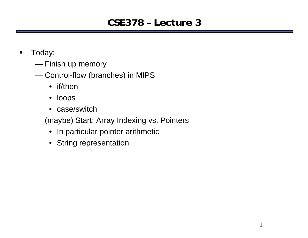# **CSE378 – Lecture 3**

- $\blacksquare$  Today:
	- Finish up memory
	- ——————————————— Control-flow (branches) in MIPS
		- if/then
		- loops
		- case/switch
	- $\sim$  (maybe) Start: Array Indexing vs. Pointers
		- In particular pointer arithmetic
		- String representation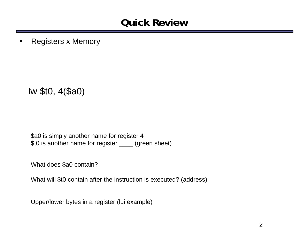#### **Quick Review**

 $\blacksquare$ Registers x Memory

lw \$t0, 4(\$a0)

\$a0 is simply another name for register 4 \$t0 is another name for register \_\_\_\_ (green sheet)

What does \$a0 contain?

What will \$t0 contain after the instruction is executed? (address)

Upper/lower bytes in a register (lui example)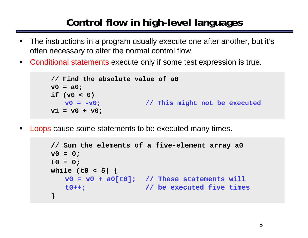# **Control flow in high-level languages**

- $\blacksquare$  The instructions in a program usually execute one after another, but it's often necessary to alter the normal control flow.
- **Conditional statements execute only if some test expression is true.**

```
// Find the absolute value of a0
v0 = a0;
if (v0 < 0)
  v0 = -v0; // This might not be executed
v1 = v0 + v0;
```
ш Loops cause some statements to be executed many times.

```
// Sum the elements of a five-element array a0
v0 = 0;
t0 = 0;
while (t0 < 5) {
   v0 = v0 + a0[t0]; // These statements will
  t0++; // be executed five times
}
```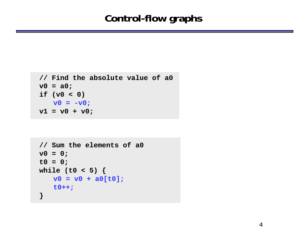#### **Control-flow graphs**

```
// Find the absolute value of a0
v0 = a0;
if (v0 < 0)
 v0 = -v0;v1 = v0 + v0;
```

```
// Sum the elements of a0
v0 = 0;
t0 = 0;
while (t0 < 5) {
  v0 = v0 + a0[t0];
  t0++;
}
```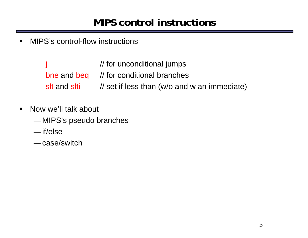### **MIPS control instructions**

 $\blacksquare$ MIPS's control-flow instructions

> $\frac{1}{10}$  for unconditional jumps bne and beq  $\frac{1}{2}$  for conditional branches slt and slti // set if less than (w/o and w an immediate)

- $\blacksquare$  Now we'll talk about
	- ———— MIPS's pseudo branches
	- if/else
	- case/switch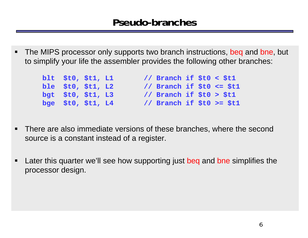$\qquad \qquad \blacksquare$ The MIPS processor only supports two branch instructions, beq and bne, but to simplify your life the assembler provides the following other branches:

| blt \$t0, \$t1, L1 |  | // Branch if \$t0 < \$t1  |  |  |
|--------------------|--|---------------------------|--|--|
| ble \$t0, \$t1, L2 |  | // Branch if \$t0 <= \$t1 |  |  |
| bgt \$t0, \$t1, L3 |  | // Branch if \$t0 > \$t1  |  |  |
| bge \$t0, \$t1, L4 |  | // Branch if \$t0 >= \$t1 |  |  |

- $\qquad \qquad \blacksquare$  There are also immediate versions of these branches, where the second source is a constant instead of a register.
- $\blacksquare$  Later this quarter we'll see how supporting just beq and bne simplifies the processor design.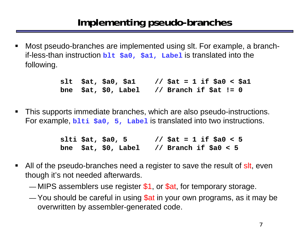ш Most pseudo-branches are implemented using slt. For example, a branchif-less-than instruction **blt \$a0, \$a1, Label** is translated into the following.

> **slt \$at, \$a0, \$a1 // \$at = 1 if \$a0 < \$a1 bne \$at, \$0, Label // Branch if \$at != 0**

 $\blacksquare$  This supports immediate branches, which are also pseudo-instructions. For example, **blti**  $\frac{1}{2}a0$ , 5, Label is translated into two instructions.

> **slti \$at, \$a0, 5 // \$at = 1 if \$a0 < 5 bne \$at, \$0, Label // Branch if \$a0 < 5**

- П All of the pseudo-branches need a register to save the result of sit, even though it's not needed afterwards.
	- ——————————  $-$  MIPS assemblers use register \$1, or \$at, for temporary storage.
	- **Maria Maria Maria Maria Maria Maria Maria Maria Maria Maria Maria Maria Maria Maria Maria Maria Maria Maria**  You should be careful in using \$at in your own programs, as it may be overwritten by assembler-generated code.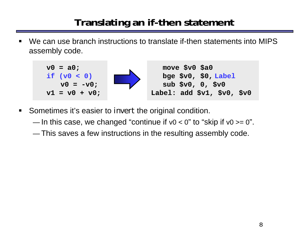# **Translating an if-then statement**

 We can use branch instructions to translate if-then statements into MIPS assembly code.



- $\blacksquare$  Sometimes it's easier to *invert* the original condition.
	- **Maria Maria Maria Maria Maria Maria Maria Maria Maria Maria Maria Maria Maria Maria Maria Maria Maria Maria**  $-$  In this case, we changed "continue if v0 < 0" to "skip if v0 >= 0".
	- ———— This saves a few instructions in the resulting assembly code.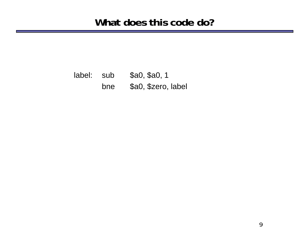label: sub \$a0, \$a0, 1 bne \$a0, \$zero, label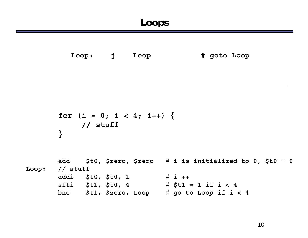**Loop: j Loop # goto Loop**

```
for (i = 0; i < 4; i++) {
   // stuff
}
```

```
add $t0, $zero, $zero # i is initialized to 0, $t0 = 0
Loop: // stuff
      addi $t0, $t0, 1 # i ++
      slti $t1, $t0, 4 # $t1 = 1 if i < 4
      bne $t1, $zero, Loop # go to Loop if i < 4
```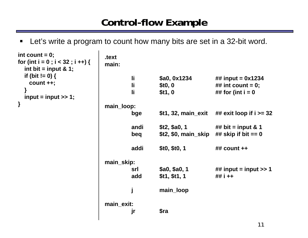### **Control-flow Example**

 $\blacksquare$ Let's write a program to count how many bits are set in a 32-bit word.

```
.textmain:li $a0, 0x1234 ## input = 0x1234
                                 li $t0, 0 ## int count = 0;
                                 li $t1, 0 ## for (int i = 0 
                         main_loop:
                                 bge $t1, 32, main_exit ## exit loop if i >= 32 
                                 andi $t2, $a0, 1 ## bit = input & 1
                                 beq $t2, $0, main_skip ## skip if bit == 0
                                 addi $t0, $t0, 1 ## count ++
                         main_skip:
                                 srl $a0, $a0, 1 ## input = input >> 1
                                 add $t1, $t1, 1 ## i ++
                                 j main_loop
                         main_exit:
                                 jr $ra
int count = 0;
for (int i = 0 ; i < 32 ; i ++) {
 int bit = input & 1;
 if (bit != 0) {
   count ++;
  }
 input = input >> 1;
}
```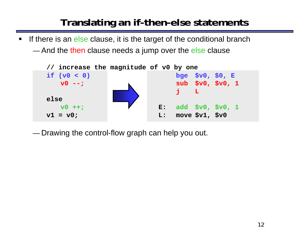# **Translating an if-then-else statements**

- **If there is an else clause, it is the target of the conditional branch** 
	- ———— — And the then clause needs a jump over the else clause



——————————  $-$  Drawing the control-flow graph can help you out.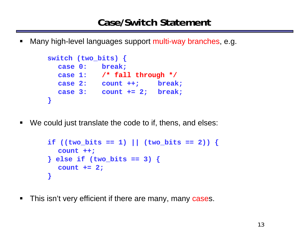$\blacksquare$ Many high-level languages support multi-way branches, e.g.

```
switch (two_bits) {
  case 0: break;
  case 1: /* fall through */
  case 2: count ++; break;
  case 3: count += 2; break;
}
```
 $\blacksquare$ We could just translate the code to if, thens, and elses:

```
if ((two_bits == 1) || (two_bits == 2)) {
  count ++;
} else if (two_bits == 3) {
  count += 2; 
}
```
 $\blacksquare$ This isn't very efficient if there are many, many cases.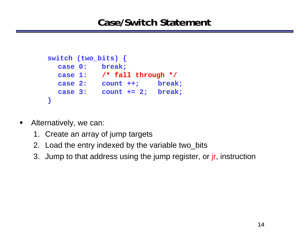```
switch (two_bits) {
  case 0: break;
  case 1: /* fall through */
  case 2: count ++; break;
  case 3: count += 2; break;
}
```
- $\blacksquare$  Alternatively, we can:
	- 1. Create an array of jump targets
	- 2. Load the entry indexed by the variable two\_bits
	- 3. Jump to that address using the jump register, or *jr*, instruction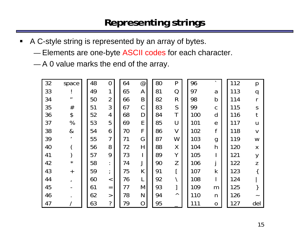### **Representing strings**

- $\blacksquare$  A C-style string is represented by an array of bytes.
	- ————  $-$  Elements are one-byte ASCII codes for each character.
	- ——————————  $-$  A 0 value marks the end of the array.

| 32 | space                       | 48 | 0                     | 64 | @              | 80 | P              | 96  | $\overline{\phantom{a}}$ | 112 | p                |
|----|-----------------------------|----|-----------------------|----|----------------|----|----------------|-----|--------------------------|-----|------------------|
| 33 |                             | 49 | 1                     | 65 | A              | 81 | Q              | 97  | a                        | 113 | q                |
| 34 | $\boldsymbol{\prime\prime}$ | 50 | $\overline{2}$        | 66 | B              | 82 | $\mathsf{R}$   | 98  | $\mathsf b$              | 114 | r                |
| 35 | $\#$                        | 51 | 3                     | 67 | $\mathcal C$   | 83 | $\mathsf{S}$   | 99  | $\mathsf C$              | 115 | $\mathsf S$      |
| 36 | $\boldsymbol{\varphi}$      | 52 | 4                     | 68 | D              | 84 | T              | 100 | d                        | 116 |                  |
| 37 | $\%$                        | 53 | 5                     | 69 | E              | 85 | U              | 101 | $\mathbf e$              | 117 | U                |
| 38 | &                           | 54 | 6                     | 70 | F              | 86 | $\overline{V}$ | 102 | f                        | 118 | $\vee$           |
| 39 | $\mathbf{r}$                | 55 | $\overline{7}$        | 71 | G              | 87 | W              | 103 | $\mathbf g$              | 119 | W                |
| 40 |                             | 56 | 8                     | 72 | H              | 88 | X              | 104 | h                        | 120 | $\boldsymbol{X}$ |
| 41 |                             | 57 | 9                     | 73 |                | 89 | Y              | 105 |                          | 121 | y                |
| 42 | $\star$                     | 58 | $\bullet$             | 74 |                | 90 | Z              | 106 |                          | 122 | Z                |
| 43 | $\ddagger$                  | 59 | $\bullet$<br>$\prime$ | 75 | K              | 91 |                | 107 | $\mathsf k$              | 123 |                  |
| 44 | $\mathbf{I}$                | 60 | $\,<$                 | 76 |                | 92 |                | 108 |                          | 124 |                  |
| 45 |                             | 61 | $=$                   | 77 | M              | 93 |                | 109 | m                        | 125 |                  |
| 46 |                             | 62 | $\rm{>}$              | 78 | N              | 94 | Λ              | 110 | $\mathsf{n}$             | 126 |                  |
| 47 |                             | 63 | $\ddot{?}$            | 79 | $\overline{O}$ | 95 |                | 111 | ${\bf O}$                | 127 | del              |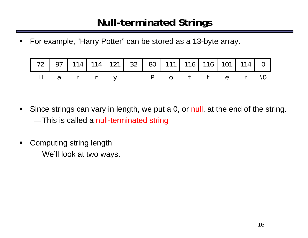# **Null-terminated Strings**

 $\blacksquare$ For example, "Harry Potter" can be stored as a 13-byte array.

| 72 97 114 114 121 32 80 111 116 116 101 114 0 |  |  |  |  |  |  |
|-----------------------------------------------|--|--|--|--|--|--|
| Harry Potter\0                                |  |  |  |  |  |  |

- $\blacksquare$  Since strings can vary in length, we put a 0, or null, at the end of the string. ————  $-$  This is called a null-terminated string
- $\blacksquare$  Computing string length
	- ———— We'll look at two ways.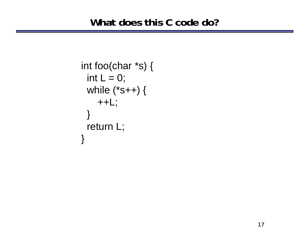```
int foo(char *s) { 
 int L = 0;
 while (*s++) { 
    ++L;} 
 return L; 
}
```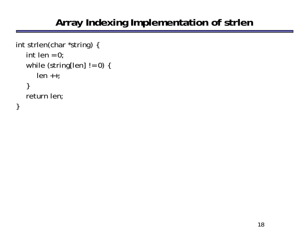# **Array Indexing Implementation of strlen**

```
int strlen(char *string) {
   int len = 0;
   while (string[len] != 0) {
      len ++;
   }
   return len;
}
```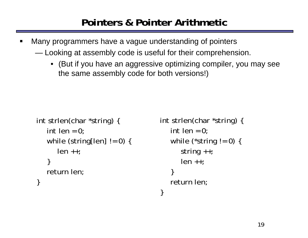# **Pointers & Pointer Arithmetic**

- $\blacksquare$  Many programmers have a vague understanding of pointers  $\sim$  Looking at assembly code is useful for their comprehension.
	- (But if you have an aggressive optimizing compiler, you may see the same assembly code for both versions!)

```
int strlen(char *string) {
   int len = 0;
   while (string[len] != 0) {
      len + +;}
   return len;
}
```

```
int strlen(char *string) {
   int len = 0;
   while (*string != 0) {
      string ++;
      len + +;}
   return len;
}
```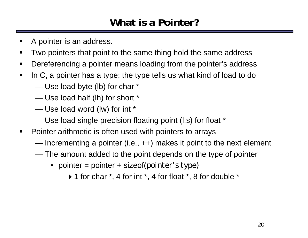# **What is a Pointer?**

- $\blacksquare$ A pointer is an address.
- $\blacksquare$ Two pointers that point to the same thing hold the same address
- $\blacksquare$ Dereferencing a pointer means loading from the pointer's address
- $\blacksquare$  In C, a pointer has a type; the type tells us what kind of load to do
	- $\sim$ Use load byte (lb) for char \*
	- Use load half (lh) for short \*
	- ——————————————— Use load word (lw) for int \*
	- $\sim$ Use load single precision floating point (l.s) for float \*
- $\blacksquare$  Pointer arithmetic is often used with pointers to arrays
	- ——————————————— Incrementing a pointer (i.e., ++) makes it point to the next element
	- $\sim$  The amount added to the point depends on the type of pointer
		- pointer = pointer + sizeof(*pointer's type)*
			- $\triangleright$  1 for char  $\cdot$ , 4 for int  $\cdot$ , 4 for float  $\cdot$ , 8 for double  $\cdot$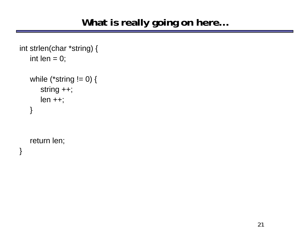```
int strlen(char *string) {
   int len = 0;
   while (*string != 0) {
      string ++;
      len + +;}
```
return len;

}